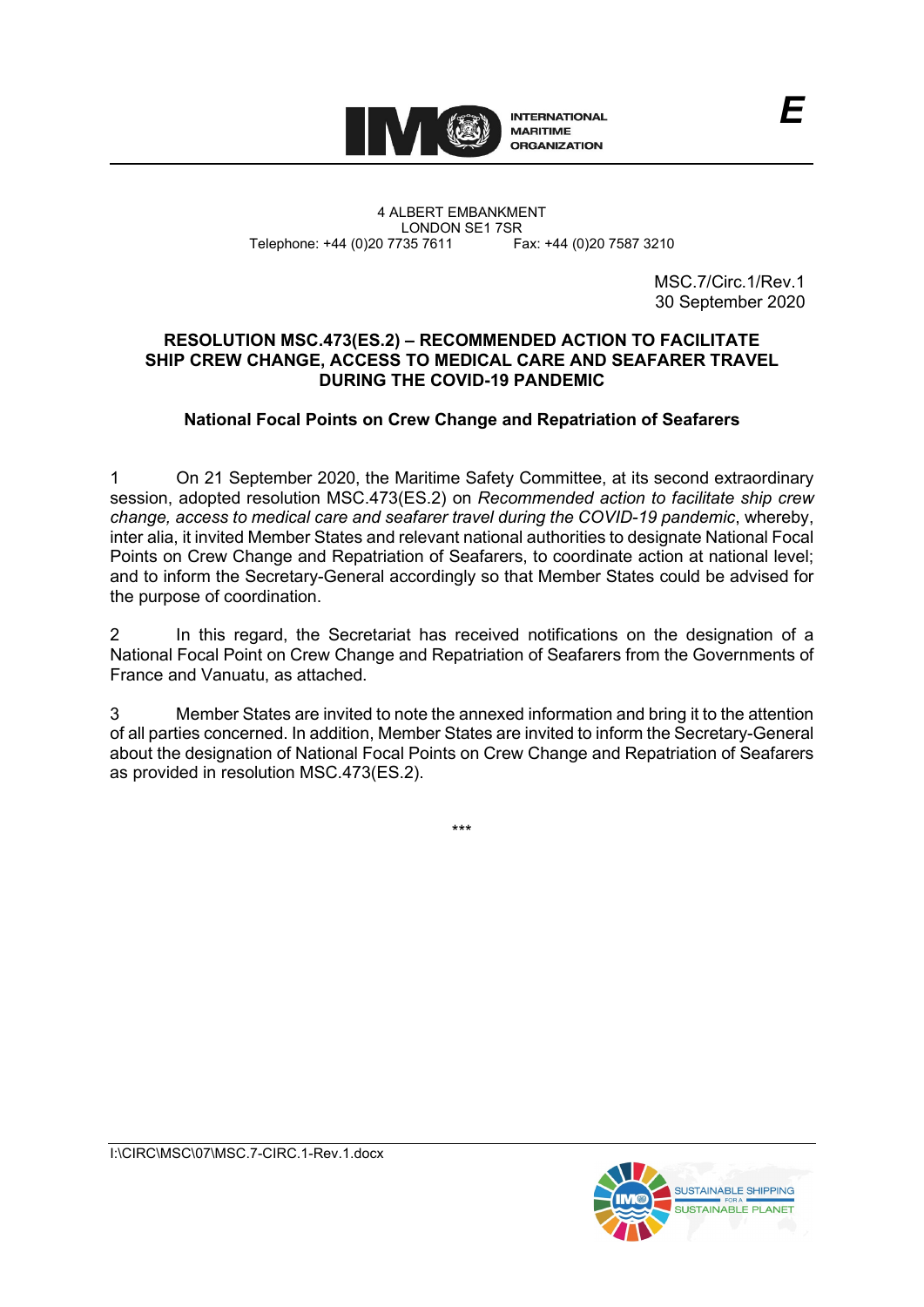

4 ALBERT EMBANKMENT Telephone: +44 (0)20 7735 7611

LONDON SE1 7SR<br>735 7611 Fax: +44 (0)20 7587 3210

MSC.7/Circ.1/Rev.1 30 September 2020

#### **RESOLUTION MSC.473(ES.2) – RECOMMENDED ACTION TO FACILITATE SHIP CREW CHANGE, ACCESS TO MEDICAL CARE AND SEAFARER TRAVEL DURING THE COVID-19 PANDEMIC**

# **National Focal Points on Crew Change and Repatriation of Seafarers**

1 On 21 September 2020, the Maritime Safety Committee, at its second extraordinary session, adopted resolution MSC.473(ES.2) on *Recommended action to facilitate ship crew change, access to medical care and seafarer travel during the COVID-19 pandemic*, whereby, inter alia, it invited Member States and relevant national authorities to designate National Focal Points on Crew Change and Repatriation of Seafarers, to coordinate action at national level; and to inform the Secretary-General accordingly so that Member States could be advised for the purpose of coordination.

2 In this regard, the Secretariat has received notifications on the designation of a National Focal Point on Crew Change and Repatriation of Seafarers from the Governments of France and Vanuatu, as attached.

3 Member States are invited to note the annexed information and bring it to the attention of all parties concerned. In addition, Member States are invited to inform the Secretary-General about the designation of National Focal Points on Crew Change and Repatriation of Seafarers as provided in resolution MSC.473(ES.2).

\*\*\*